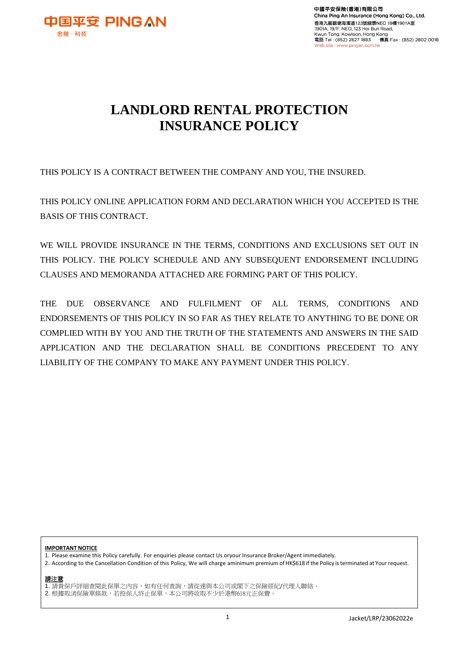

# **LANDLORD RENTAL PROTECTION INSURANCE POLICY**

THIS POLICY IS A CONTRACT BETWEEN THE COMPANY AND YOU, THE INSURED.

THIS POLICY ONLINE APPLICATION FORM AND DECLARATION WHICH YOU ACCEPTED IS THE BASIS OF THIS CONTRACT.

WE WILL PROVIDE INSURANCE IN THE TERMS, CONDITIONS AND EXCLUSIONS SET OUT IN THIS POLICY. THE POLICY SCHEDULE AND ANY SUBSEQUENT ENDORSEMENT INCLUDING CLAUSES AND MEMORANDA ATTACHED ARE FORMING PART OF THIS POLICY.

THE DUE OBSERVANCE AND FULFILMENT OF ALL TERMS, CONDITIONS AND ENDORSEMENTS OF THIS POLICY IN SO FAR AS THEY RELATE TO ANYTHING TO BE DONE OR COMPLIED WITH BY YOU AND THE TRUTH OF THE STATEMENTS AND ANSWERS IN THE SAID APPLICATION AND THE DECLARATION SHALL BE CONDITIONS PRECEDENT TO ANY LIABILITY OF THE COMPANY TO MAKE ANY PAYMENT UNDER THIS POLICY.

#### **IMPORTANT NOTICE**

1. Please examine this Policy carefully. For enquiries please contact Us oryour Insurance Broker/Agent immediately.

2. According to the Cancellation Condition of this Policy, We will charge aminimum premium of HK\$618 if the Policy is terminated at Your request.

請注意 1. 請貴保戶詳細查閱此保單之內容,如有任何查詢,請從速與本公司或閣下之保險經紀/代理人聯絡。 2. 根據取消保險單條款,若投保人終止保單,本公司將收取不少於港幣618元正保費。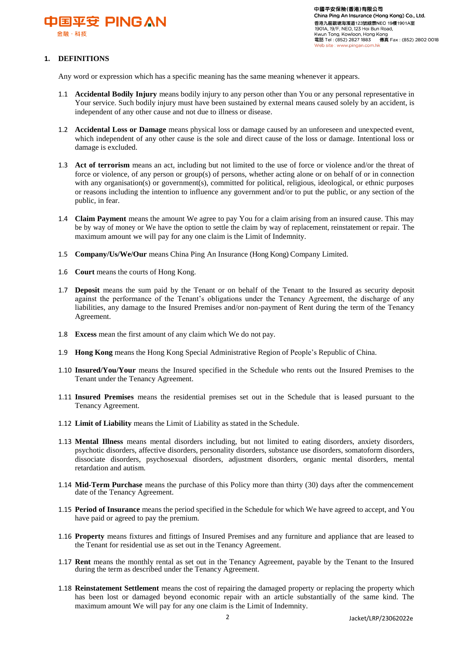

# **1. DEFINITIONS**

Any word or expression which has a specific meaning has the same meaning whenever it appears.

- 1.1 **Accidental Bodily Injury** means bodily injury to any person other than You or any personal representative in Your service. Such bodily injury must have been sustained by external means caused solely by an accident, is independent of any other cause and not due to illness or disease.
- 1.2 **Accidental Loss or Damage** means physical loss or damage caused by an unforeseen and unexpected event, which independent of any other cause is the sole and direct cause of the loss or damage. Intentional loss or damage is excluded.
- 1.3 **Act of terrorism** means an act, including but not limited to the use of force or violence and/or the threat of force or violence, of any person or group(s) of persons, whether acting alone or on behalf of or in connection with any organisation(s) or government(s), committed for political, religious, ideological, or ethnic purposes or reasons including the intention to influence any government and/or to put the public, or any section of the public, in fear.
- 1.4 **Claim Payment** means the amount We agree to pay You for a claim arising from an insured cause. This may be by way of money or We have the option to settle the claim by way of replacement, reinstatement or repair. The maximum amount we will pay for any one claim is the Limit of Indemnity.
- 1.5 **Company/Us/We/Our** means China Ping An Insurance (Hong Kong) Company Limited.
- 1.6 **Court** means the courts of Hong Kong.
- 1.7 **Deposit** means the sum paid by the Tenant or on behalf of the Tenant to the Insured as security deposit against the performance of the Tenant's obligations under the Tenancy Agreement, the discharge of any liabilities, any damage to the Insured Premises and/or non-payment of Rent during the term of the Tenancy Agreement.
- 1.8 **Excess** mean the first amount of any claim which We do not pay.
- 1.9 **Hong Kong** means the Hong Kong Special Administrative Region of People's Republic of China.
- 1.10 **Insured/You/Your** means the Insured specified in the Schedule who rents out the Insured Premises to the Tenant under the Tenancy Agreement.
- 1.11 **Insured Premises** means the residential premises set out in the Schedule that is leased pursuant to the Tenancy Agreement.
- 1.12 **Limit of Liability** means the Limit of Liability as stated in the Schedule.
- 1.13 **Mental Illness** means mental disorders including, but not limited to eating disorders, anxiety disorders, psychotic disorders, affective disorders, personality disorders, substance use disorders, somatoform disorders, dissociate disorders, psychosexual disorders, adjustment disorders, organic mental disorders, mental retardation and autism.
- 1.14 **Mid-Term Purchase** means the purchase of this Policy more than thirty (30) days after the commencement date of the Tenancy Agreement.
- 1.15 **Period of Insurance** means the period specified in the Schedule for which We have agreed to accept, and You have paid or agreed to pay the premium.
- 1.16 **Property** means fixtures and fittings of Insured Premises and any furniture and appliance that are leased to the Tenant for residential use as set out in the Tenancy Agreement.
- 1.17 **Rent** means the monthly rental as set out in the Tenancy Agreement, payable by the Tenant to the Insured during the term as described under the Tenancy Agreement.
- 1.18 **Reinstatement Settlement** means the cost of repairing the damaged property or replacing the property which has been lost or damaged beyond economic repair with an article substantially of the same kind. The maximum amount We will pay for any one claim is the Limit of Indemnity.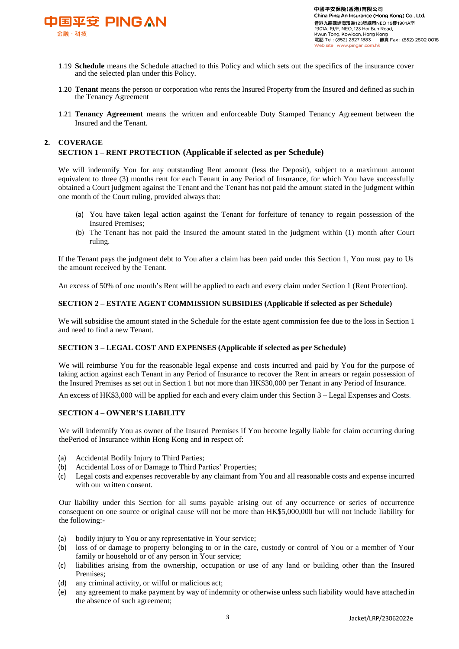

- 1.19 **Schedule** means the Schedule attached to this Policy and which sets out the specifics of the insurance cover and the selected plan under this Policy.
- 1.20 **Tenant** means the person or corporation who rents the Insured Property from the Insured and defined as such in the Tenancy Agreement
- 1.21 **Tenancy Agreement** means the written and enforceable Duty Stamped Tenancy Agreement between the Insured and the Tenant.

# **2. COVERAGE**

## **SECTION 1 – RENT PROTECTION (Applicable if selected as per Schedule)**

We will indemnify You for any outstanding Rent amount (less the Deposit), subject to a maximum amount equivalent to three (3) months rent for each Tenant in any Period of Insurance, for which You have successfully obtained a Court judgment against the Tenant and the Tenant has not paid the amount stated in the judgment within one month of the Court ruling, provided always that:

- (a) You have taken legal action against the Tenant for forfeiture of tenancy to regain possession of the Insured Premises;
- (b) The Tenant has not paid the Insured the amount stated in the judgment within (1) month after Court ruling.

If the Tenant pays the judgment debt to You after a claim has been paid under this Section 1, You must pay to Us the amount received by the Tenant.

An excess of 50% of one month's Rent will be applied to each and every claim under Section 1 (Rent Protection).

## **SECTION 2 – ESTATE AGENT COMMISSION SUBSIDIES (Applicable if selected as per Schedule)**

We will subsidise the amount stated in the Schedule for the estate agent commission fee due to the loss in Section 1 and need to find a new Tenant.

#### **SECTION 3 – LEGAL COST AND EXPENSES (Applicable if selected as per Schedule)**

We will reimburse You for the reasonable legal expense and costs incurred and paid by You for the purpose of taking action against each Tenant in any Period of Insurance to recover the Rent in arrears or regain possession of the Insured Premises as set out in Section 1 but not more than HK\$30,000 per Tenant in any Period of Insurance.

An excess of HK\$3,000 will be applied for each and every claim under this Section 3 – Legal Expenses and Costs.

#### **SECTION 4 – OWNER'S LIABILITY**

We will indemnify You as owner of the Insured Premises if You become legally liable for claim occurring during thePeriod of Insurance within Hong Kong and in respect of:

- (a) Accidental Bodily Injury to Third Parties;
- (b) Accidental Loss of or Damage to Third Parties' Properties;
- (c) Legal costs and expenses recoverable by any claimant from You and all reasonable costs and expense incurred with our written consent.

Our liability under this Section for all sums payable arising out of any occurrence or series of occurrence consequent on one source or original cause will not be more than HK\$5,000,000 but will not include liability for the following:-

- (a) bodily injury to You or any representative in Your service;
- (b) loss of or damage to property belonging to or in the care, custody or control of You or a member of Your family or household or of any person in Your service;
- (c) liabilities arising from the ownership, occupation or use of any land or building other than the Insured Premises;
- (d) any criminal activity, or wilful or malicious act;
- (e) any agreement to make payment by way of indemnity or otherwise unless such liability would have attached in the absence of such agreement;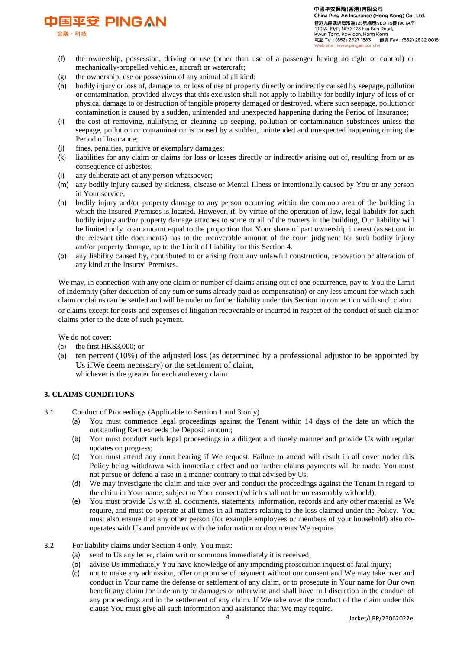

金融·科技

- (f) the ownership, possession, driving or use (other than use of a passenger having no right or control) or mechanically-propelled vehicles, aircraft or watercraft;
- (g) the ownership, use or possession of any animal of all kind;
- (h) bodily injury or loss of, damage to, or loss of use of property directly or indirectly caused by seepage, pollution or contamination, provided always that this exclusion shall not apply to liability for bodily injury of loss of or physical damage to or destruction of tangible property damaged or destroyed, where such seepage, pollution or contamination is caused by a sudden, unintended and unexpected happening during the Period of Insurance;
- (i) the cost of removing, nullifying or cleaning–up seeping, pollution or contamination substances unless the seepage, pollution or contamination is caused by a sudden, unintended and unexpected happening during the Period of Insurance;
- (j) fines, penalties, punitive or exemplary damages;
- (k) liabilities for any claim or claims for loss or losses directly or indirectly arising out of, resulting from or as consequence of asbestos;
- any deliberate act of any person whatsoever;
- (m) any bodily injury caused by sickness, disease or Mental Illness or intentionally caused by You or any person in Your service;
- (n) bodily injury and/or property damage to any person occurring within the common area of the building in which the Insured Premises is located. However, if, by virtue of the operation of law, legal liability for such bodily injury and/or property damage attaches to some or all of the owners in the building, Our liability will be limited only to an amount equal to the proportion that Your share of part ownership interest (as set out in the relevant title documents) has to the recoverable amount of the court judgment for such bodily injury and/or property damage, up to the Limit of Liability for this Section 4.
- (o) any liability caused by, contributed to or arising from any unlawful construction, renovation or alteration of any kind at the Insured Premises.

We may, in connection with any one claim or number of claims arising out of one occurrence, pay to You the Limit of Indemnity (after deduction of any sum or sums already paid as compensation) or any less amount for which such claim or claims can be settled and will be under no further liability under this Section in connection with such claim or claims except for costs and expenses of litigation recoverable or incurred in respect of the conduct of such claimor claims prior to the date of such payment.

We do not cover:

- (a) the first HK\$3,000; or
- (b) ten percent (10%) of the adjusted loss (as determined by a professional adjustor to be appointed by Us ifWe deem necessary) or the settlement of claim, whichever is the greater for each and every claim.

## **3. CLAIMS CONDITIONS**

- 3.1 Conduct of Proceedings (Applicable to Section 1 and 3 only)
	- (a) You must commence legal proceedings against the Tenant within 14 days of the date on which the outstanding Rent exceeds the Deposit amount;
	- (b) You must conduct such legal proceedings in a diligent and timely manner and provide Us with regular updates on progress;
	- (c) You must attend any court hearing if We request. Failure to attend will result in all cover under this Policy being withdrawn with immediate effect and no further claims payments will be made. You must not pursue or defend a case in a manner contrary to that advised by Us.
	- (d) We may investigate the claim and take over and conduct the proceedings against the Tenant in regard to the claim in Your name, subject to Your consent (which shall not be unreasonably withheld);
	- (e) You must provide Us with all documents, statements, information, records and any other material as We require, and must co-operate at all times in all matters relating to the loss claimed under the Policy. You must also ensure that any other person (for example employees or members of your household) also cooperates with Us and provide us with the information or documents We require.
- 3.2 For liability claims under Section 4 only, You must:
	- (a) send to Us any letter, claim writ or summons immediately it is received;
	- (b) advise Us immediately You have knowledge of any impending prosecution inquest of fatal injury;
	- (c) not to make any admission, offer or promise of payment without our consent and We may take over and conduct in Your name the defense or settlement of any claim, or to prosecute in Your name for Our own benefit any claim for indemnity or damages or otherwise and shall have full discretion in the conduct of any proceedings and in the settlement of any claim. If We take over the conduct of the claim under this clause You must give all such information and assistance that We may require.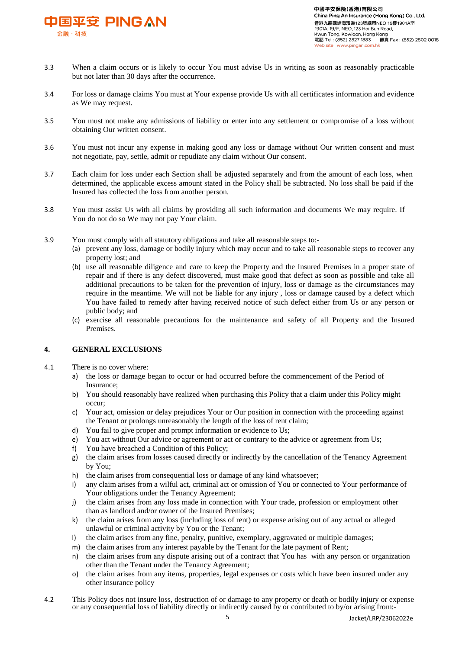

- 3.3 When a claim occurs or is likely to occur You must advise Us in writing as soon as reasonably practicable but not later than 30 days after the occurrence.
- 3.4 For loss or damage claims You must at Your expense provide Us with all certificates information and evidence as We may request.
- 3.5 You must not make any admissions of liability or enter into any settlement or compromise of a loss without obtaining Our written consent.
- 3.6 You must not incur any expense in making good any loss or damage without Our written consent and must not negotiate, pay, settle, admit or repudiate any claim without Our consent.
- 3.7 Each claim for loss under each Section shall be adjusted separately and from the amount of each loss, when determined, the applicable excess amount stated in the Policy shall be subtracted. No loss shall be paid if the Insured has collected the loss from another person.
- 3.8 You must assist Us with all claims by providing all such information and documents We may require. If You do not do so We may not pay Your claim.
- 3.9 You must comply with all statutory obligations and take all reasonable steps to:-
	- (a) prevent any loss, damage or bodily injury which may occur and to take all reasonable steps to recover any property lost; and
	- (b) use all reasonable diligence and care to keep the Property and the Insured Premises in a proper state of repair and if there is any defect discovered, must make good that defect as soon as possible and take all additional precautions to be taken for the prevention of injury, loss or damage as the circumstances may require in the meantime. We will not be liable for any injury , loss or damage caused by a defect which You have failed to remedy after having received notice of such defect either from Us or any person or public body; and
	- (c) exercise all reasonable precautions for the maintenance and safety of all Property and the Insured Premises.

## **4. GENERAL EXCLUSIONS**

- 4.1 There is no cover where:
	- a) the loss or damage began to occur or had occurred before the commencement of the Period of Insurance;
	- b) You should reasonably have realized when purchasing this Policy that a claim under this Policy might occur;
	- c) Your act, omission or delay prejudices Your or Our position in connection with the proceeding against the Tenant or prolongs unreasonably the length of the loss of rent claim;
	- d) You fail to give proper and prompt information or evidence to Us;
	- e) You act without Our advice or agreement or act or contrary to the advice or agreement from Us;
	- f) You have breached a Condition of this Policy;
	- g) the claim arises from losses caused directly or indirectly by the cancellation of the Tenancy Agreement by You;
	- h) the claim arises from consequential loss or damage of any kind whatsoever;
	- any claim arises from a wilful act, criminal act or omission of You or connected to Your performance of Your obligations under the Tenancy Agreement;
	- j) the claim arises from any loss made in connection with Your trade, profession or employment other than as landlord and/or owner of the Insured Premises;
	- k) the claim arises from any loss (including loss of rent) or expense arising out of any actual or alleged unlawful or criminal activity by You or the Tenant;
	- l) the claim arises from any fine, penalty, punitive, exemplary, aggravated or multiple damages;
	- m) the claim arises from any interest payable by the Tenant for the late payment of Rent;
	- n) the claim arises from any dispute arising out of a contract that You has with any person or organization other than the Tenant under the Tenancy Agreement;
	- o) the claim arises from any items, properties, legal expenses or costs which have been insured under any other insurance policy
- 4.2 This Policy does not insure loss, destruction of or damage to any property or death or bodily injury or expense or any consequential loss of liability directly or indirectly caused by or contributed to by/or arising from:-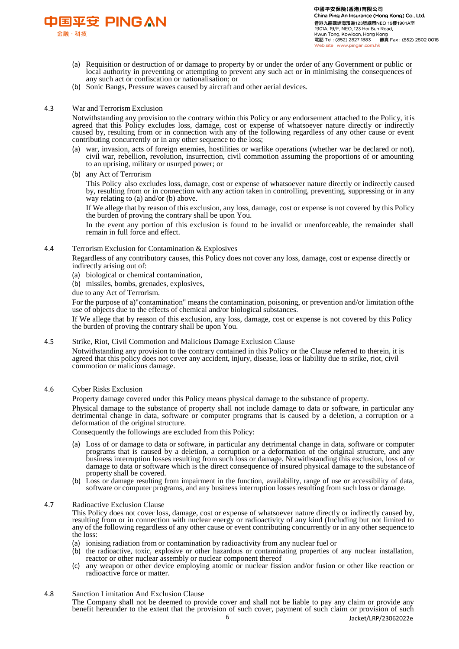

- (a) Requisition or destruction of or damage to property by or under the order of any Government or public or local authority in preventing or attempting to prevent any such act or in minimising the consequences of any such act or confiscation or nationalisation; or
- (b) Sonic Bangs, Pressure waves caused by aircraft and other aerial devices.

#### 4.3 War and Terrorism Exclusion

Notwithstanding any provision to the contrary within this Policy or any endorsement attached to the Policy, itis agreed that this Policy excludes loss, damage, cost or expense of whatsoever nature directly or indirectly caused by, resulting from or in connection with any of the following regardless of any other cause or event contributing concurrently or in any other sequence to the loss;

- (a) war, invasion, acts of foreign enemies, hostilities or warlike operations (whether war be declared or not), civil war, rebellion, revolution, insurrection, civil commotion assuming the proportions of or amounting to an uprising, military or usurped power; or
- (b) any Act of Terrorism

This Policy also excludes loss, damage, cost or expense of whatsoever nature directly or indirectly caused by, resulting from or in connection with any action taken in controlling, preventing, suppressing or in any way relating to (a) and/or (b) above.

If We allege that by reason of this exclusion, any loss, damage, cost or expense is not covered by this Policy the burden of proving the contrary shall be upon You.

In the event any portion of this exclusion is found to be invalid or unenforceable, the remainder shall remain in full force and effect.

#### 4.4 Terrorism Exclusion for Contamination & Explosives

Regardless of any contributory causes, this Policy does not cover any loss, damage, cost or expense directly or indirectly arising out of:

- (a) biological or chemical contamination,
- (b) missiles, bombs, grenades, explosives,
- due to any Act of Terrorism.

For the purpose of a)"contamination" means the contamination, poisoning, or prevention and/or limitation ofthe use of objects due to the effects of chemical and/or biological substances.

If We allege that by reason of this exclusion, any loss, damage, cost or expense is not covered by this Policy the burden of proving the contrary shall be upon You.

#### 4.5 Strike, Riot, Civil Commotion and Malicious Damage Exclusion Clause

Notwithstanding any provision to the contrary contained in this Policy or the Clause referred to therein, it is agreed that this policy does not cover any accident, injury, disease, loss or liability due to strike, riot, civil commotion or malicious damage.

4.6 Cyber Risks Exclusion

Property damage covered under this Policy means physical damage to the substance of property.

Physical damage to the substance of property shall not include damage to data or software, in particular any detrimental change in data, software or computer programs that is caused by a deletion, a corruption or a deformation of the original structure.

Consequently the followings are excluded from this Policy:

- (a) Loss of or damage to data or software, in particular any detrimental change in data, software or computer programs that is caused by a deletion, a corruption or a deformation of the original structure, and any business interruption losses resulting from such loss or damage. Notwithstanding this exclusion, loss of or damage to data or software which is the direct consequence of insured physical damage to the substance of property shall be covered.
- (b) Loss or damage resulting from impairment in the function, availability, range of use or accessibility of data, software or computer programs, and any business interruption losses resulting from such loss or damage.

#### 4.7 Radioactive Exclusion Clause

This Policy does not cover loss, damage, cost or expense of whatsoever nature directly or indirectly caused by, resulting from or in connection with nuclear energy or radioactivity of any kind (Including but not limited to any of the following regardless of any other cause or event contributing concurrently or in any other sequence to the loss:

- (a) ionising radiation from or contamination by radioactivity from any nuclear fuel or
- (b) the radioactive, toxic, explosive or other hazardous or contaminating properties of any nuclear installation, reactor or other nuclear assembly or nuclear component thereof
- (c) any weapon or other device employing atomic or nuclear fission and/or fusion or other like reaction or radioactive force or matter.

#### 4.8 Sanction Limitation And Exclusion Clause

The Company shall not be deemed to provide cover and shall not be liable to pay any claim or provide any benefit hereunder to the extent that the provision of such cover, payment of such claim or provision of such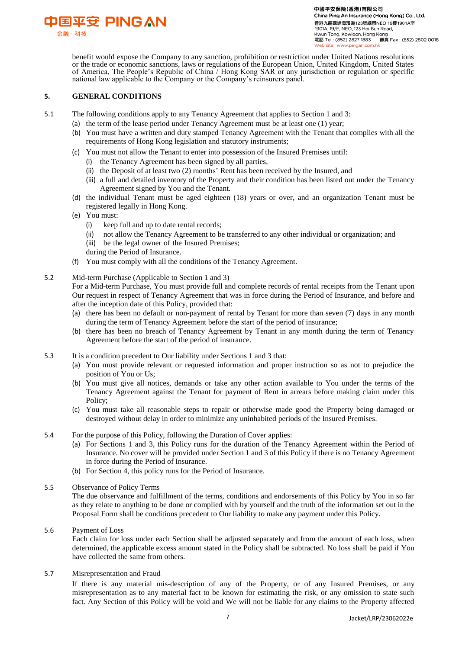

benefit would expose the Company to any sanction, prohibition or restriction under United Nations resolutions or the trade or economic sanctions, laws or regulations of the European Union, United Kingdom, United States of America, The People's Republic of China / Hong Kong SAR or any jurisdiction or regulation or specific national law applicable to the Company or the Company's reinsurers panel.

## **5. GENERAL CONDITIONS**

- 5.1 The following conditions apply to any Tenancy Agreement that applies to Section 1 and 3:
	- (a) the term of the lease period under Tenancy Agreement must be at least one (1) year;
	- (b) You must have a written and duty stamped Tenancy Agreement with the Tenant that complies with all the requirements of Hong Kong legislation and statutory instruments;
	- (c) You must not allow the Tenant to enter into possession of the Insured Premises until:
		- (i) the Tenancy Agreement has been signed by all parties,
		- (ii) the Deposit of at least two (2) months' Rent has been received by the Insured, and
		- (iii) a full and detailed inventory of the Property and their condition has been listed out under the Tenancy Agreement signed by You and the Tenant.
	- (d) the individual Tenant must be aged eighteen (18) years or over, and an organization Tenant must be registered legally in Hong Kong.
	- (e) You must:
		- (i) keep full and up to date rental records;
		- (ii) not allow the Tenancy Agreement to be transferred to any other individual or organization; and (iii) be the legal owner of the Insured Premises;
		- during the Period of Insurance.
	- (f) You must comply with all the conditions of the Tenancy Agreement.
- 5.2 Mid-term Purchase (Applicable to Section 1 and 3)

For a Mid-term Purchase, You must provide full and complete records of rental receipts from the Tenant upon Our request in respect of Tenancy Agreement that was in force during the Period of Insurance, and before and after the inception date of this Policy, provided that:

- (a) there has been no default or non-payment of rental by Tenant for more than seven (7) days in any month during the term of Tenancy Agreement before the start of the period of insurance;
- (b) there has been no breach of Tenancy Agreement by Tenant in any month during the term of Tenancy Agreement before the start of the period of insurance.
- 5.3 It is a condition precedent to Our liability under Sections 1 and 3 that:
	- (a) You must provide relevant or requested information and proper instruction so as not to prejudice the position of You or Us;
	- (b) You must give all notices, demands or take any other action available to You under the terms of the Tenancy Agreement against the Tenant for payment of Rent in arrears before making claim under this Policy;
	- (c) You must take all reasonable steps to repair or otherwise made good the Property being damaged or destroyed without delay in order to minimize any uninhabited periods of the Insured Premises.
- 5.4 For the purpose of this Policy, following the Duration of Cover applies:
	- (a) For Sections 1 and 3, this Policy runs for the duration of the Tenancy Agreement within the Period of Insurance. No cover will be provided under Section 1 and 3 of this Policy if there is no Tenancy Agreement in force during the Period of Insurance.
	- (b) For Section 4, this policy runs for the Period of Insurance.
- 5.5 Observance of Policy Terms

The due observance and fulfillment of the terms, conditions and endorsements of this Policy by You in so far as they relate to anything to be done or complied with by yourself and the truth of the information set out in the Proposal Form shall be conditions precedent to Our liability to make any payment under this Policy.

### 5.6 Payment of Loss

Each claim for loss under each Section shall be adjusted separately and from the amount of each loss, when determined, the applicable excess amount stated in the Policy shall be subtracted. No loss shall be paid if You have collected the same from others.

#### 5.7 Misrepresentation and Fraud

If there is any material mis-description of any of the Property, or of any Insured Premises, or any misrepresentation as to any material fact to be known for estimating the risk, or any omission to state such fact. Any Section of this Policy will be void and We will not be liable for any claims to the Property affected